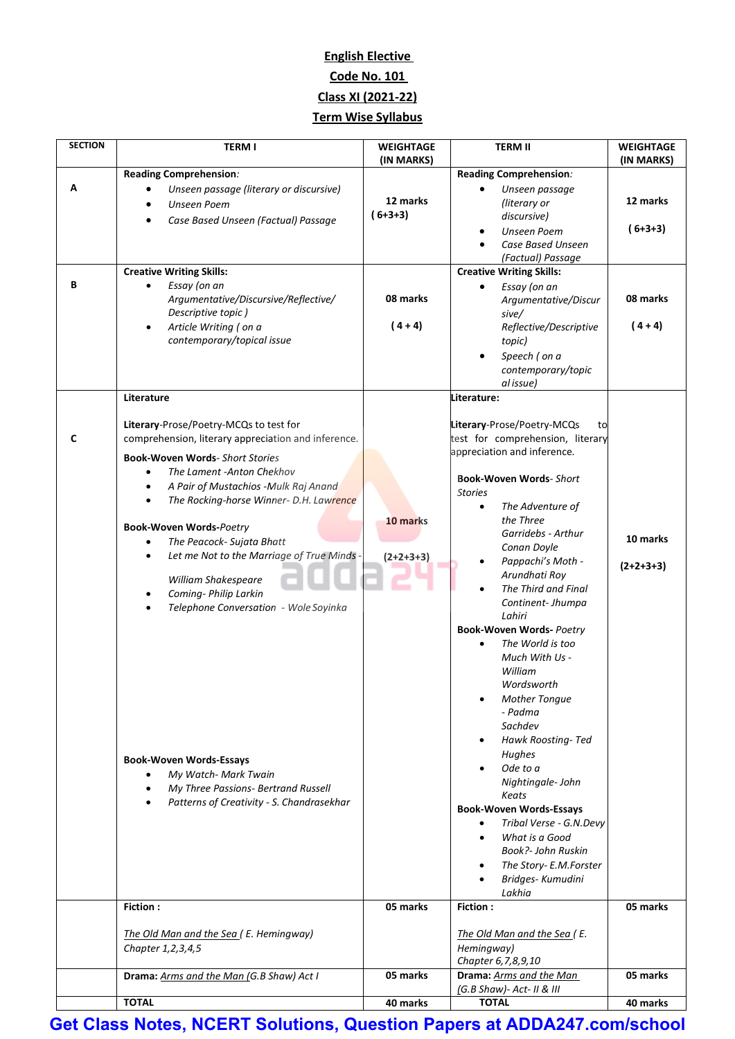### **English Elective Code No. 101 Class XI (2021-22) Term Wise Syllabus**

| <b>SECTION</b> | <b>TERM I</b>                                                                                 | <b>WEIGHTAGE</b> | <b>TERM II</b>                                                       | <b>WEIGHTAGE</b> |
|----------------|-----------------------------------------------------------------------------------------------|------------------|----------------------------------------------------------------------|------------------|
|                | Reading Comprehension:                                                                        | (IN MARKS)       | Reading Comprehension:                                               | (IN MARKS)       |
| Α              | Unseen passage (literary or discursive)                                                       |                  | Unseen passage                                                       |                  |
|                | Unseen Poem                                                                                   | 12 marks         | (literary or                                                         | 12 marks         |
|                | Case Based Unseen (Factual) Passage                                                           | $(6+3+3)$        | discursive)                                                          | $(6+3+3)$        |
|                |                                                                                               |                  | <b>Unseen Poem</b><br>Case Based Unseen                              |                  |
|                |                                                                                               |                  | (Factual) Passage                                                    |                  |
|                | <b>Creative Writing Skills:</b>                                                               |                  | <b>Creative Writing Skills:</b>                                      |                  |
| В              | Essay (on an<br>$\bullet$<br>Argumentative/Discursive/Reflective/                             | 08 marks         | Essay (on an                                                         | 08 marks         |
|                | Descriptive topic)                                                                            |                  | Argumentative/Discur<br>sive/                                        |                  |
|                | Article Writing (on a<br>$\bullet$                                                            | $(4 + 4)$        | Reflective/Descriptive                                               | $(4+4)$          |
|                | contemporary/topical issue                                                                    |                  | topic)                                                               |                  |
|                |                                                                                               |                  | Speech (on a                                                         |                  |
|                |                                                                                               |                  | contemporary/topic<br>al issue)                                      |                  |
|                | Literature                                                                                    |                  | Literature:                                                          |                  |
|                |                                                                                               |                  |                                                                      |                  |
| C              | Literary-Prose/Poetry-MCQs to test for<br>comprehension, literary appreciation and inference. |                  | Literary-Prose/Poetry-MCQs<br>to<br>test for comprehension, literary |                  |
|                |                                                                                               |                  | appreciation and inference.                                          |                  |
|                | <b>Book-Woven Words- Short Stories</b><br>The Lament -Anton Chekhov                           |                  |                                                                      |                  |
|                | A Pair of Mustachios -Mulk Raj Anand<br>$\bullet$                                             |                  | <b>Book-Woven Words-Short</b><br><b>Stories</b>                      |                  |
|                | The Rocking-horse Winner- D.H. Lawrence<br>$\bullet$                                          |                  | The Adventure of<br>$\bullet$                                        |                  |
|                |                                                                                               | 10 marks         | the Three                                                            |                  |
|                | <b>Book-Woven Words-Poetry</b><br>The Peacock- Sujata Bhatt<br>$\bullet$                      |                  | Garridebs - Arthur                                                   | 10 marks         |
|                | Let me Not to the Marriage of True Minds -<br>$\bullet$                                       | $(2+2+3+3)$      | Conan Doyle                                                          |                  |
|                |                                                                                               |                  | Pappachi's Moth -<br>Arundhati Roy                                   | $(2+2+3+3)$      |
|                | William Shakespeare<br>Coming- Philip Larkin<br>$\bullet$                                     |                  | The Third and Final                                                  |                  |
|                | Telephone Conversation - Wole Soyinka                                                         |                  | Continent-Jhumpa                                                     |                  |
|                |                                                                                               |                  | Lahiri<br><b>Book-Woven Words- Poetry</b>                            |                  |
|                |                                                                                               |                  | The World is too                                                     |                  |
|                |                                                                                               |                  | Much With Us -                                                       |                  |
|                |                                                                                               |                  | William                                                              |                  |
|                |                                                                                               |                  | Wordsworth<br><b>Mother Tonque</b><br>٠                              |                  |
|                |                                                                                               |                  | - Padma                                                              |                  |
|                |                                                                                               |                  | Sachdev                                                              |                  |
|                |                                                                                               |                  | Hawk Roosting-Ted<br>$\bullet$                                       |                  |
|                | <b>Book-Woven Words-Essays</b>                                                                |                  | Hughes<br>Ode to a                                                   |                  |
|                | My Watch- Mark Twain<br>My Three Passions- Bertrand Russell<br>$\bullet$                      |                  | Nightingale-John                                                     |                  |
|                | Patterns of Creativity - S. Chandrasekhar<br>$\bullet$                                        |                  | Keats                                                                |                  |
|                |                                                                                               |                  | <b>Book-Woven Words-Essays</b><br>Tribal Verse - G.N.Devy            |                  |
|                |                                                                                               |                  | What is a Good<br>$\bullet$                                          |                  |
|                |                                                                                               |                  | Book?- John Ruskin                                                   |                  |
|                |                                                                                               |                  | The Story- E.M.Forster                                               |                  |
|                |                                                                                               |                  | Bridges- Kumudini<br>Lakhia                                          |                  |
|                | <b>Fiction:</b>                                                                               | 05 marks         | <b>Fiction:</b>                                                      | 05 marks         |
|                |                                                                                               |                  |                                                                      |                  |
|                | The Old Man and the Sea (E. Hemingway)<br>Chapter 1, 2, 3, 4, 5                               |                  | The Old Man and the Sea (E.<br>Hemingway)                            |                  |
|                |                                                                                               |                  | Chapter 6, 7, 8, 9, 10                                               |                  |
|                | Drama: Arms and the Man (G.B Shaw) Act I                                                      | 05 marks         | Drama: Arms and the Man                                              | 05 marks         |
|                | <b>TOTAL</b>                                                                                  | 40 marks         | (G.B Shaw)- Act- II & III<br><b>TOTAL</b>                            | 40 marks         |
|                |                                                                                               |                  |                                                                      |                  |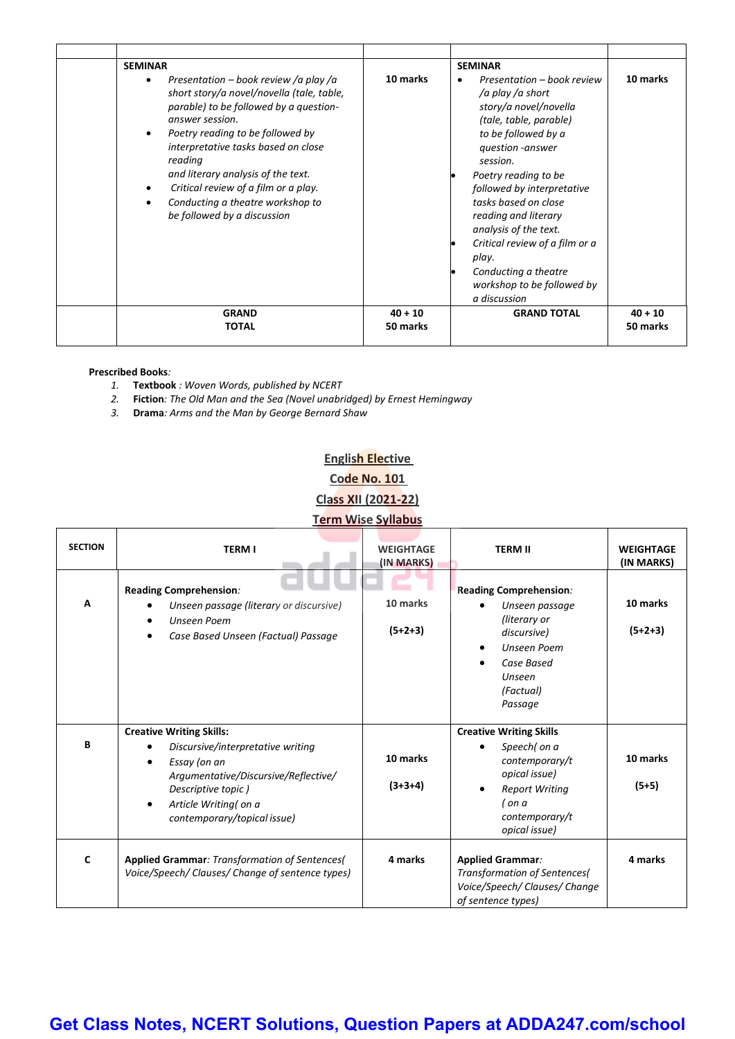| <b>SEMINAR</b>                                                                                                                                                                                                                                                                                                                                                                                                   |           | <b>SEMINAR</b>                                                                                                                                                                                                                                                                                                                                                                                           |           |
|------------------------------------------------------------------------------------------------------------------------------------------------------------------------------------------------------------------------------------------------------------------------------------------------------------------------------------------------------------------------------------------------------------------|-----------|----------------------------------------------------------------------------------------------------------------------------------------------------------------------------------------------------------------------------------------------------------------------------------------------------------------------------------------------------------------------------------------------------------|-----------|
| Presentation – book review /a play /a<br>short story/a novel/novella (tale, table,<br>parable) to be followed by a question-<br>answer session.<br>Poetry reading to be followed by<br>$\bullet$<br>interpretative tasks based on close<br>reading<br>and literary analysis of the text.<br>Critical review of a film or a play.<br>$\bullet$<br>Conducting a theatre workshop to<br>be followed by a discussion | 10 marks  | Presentation - book review<br>/a play /a short<br>story/a novel/novella<br>(tale, table, parable)<br>to be followed by a<br>question -answer<br>session.<br>Poetry reading to be<br>followed by interpretative<br>tasks based on close<br>reading and literary<br>analysis of the text.<br>Critical review of a film or a<br>play.<br>Conducting a theatre<br>workshop to be followed by<br>a discussion | 10 marks  |
| <b>GRAND</b>                                                                                                                                                                                                                                                                                                                                                                                                     | $40 + 10$ | <b>GRAND TOTAL</b>                                                                                                                                                                                                                                                                                                                                                                                       | $40 + 10$ |
| <b>TOTAL</b>                                                                                                                                                                                                                                                                                                                                                                                                     | 50 marks  |                                                                                                                                                                                                                                                                                                                                                                                                          | 50 marks  |
|                                                                                                                                                                                                                                                                                                                                                                                                                  |           |                                                                                                                                                                                                                                                                                                                                                                                                          |           |

#### **Prescribed Books***:*

- *1.* **Textbook** *: Woven Words, published by NCERT*
- *2.* **Fiction***: The Old Man and the Sea (Novel unabridged) by Ernest Hemingway*
- *3.* **Drama***: Arms and the Man by George Bernard Shaw*

### **English Elective Code No. 101 Class XII (2021-22) Term Wise Syllabus**

| <b>SECTION</b> | <b>TERM I</b>                                                                                                                                                                                                                                     | <b>WEIGHTAGE</b><br>(IN MARKS) | <b>TERM II</b>                                                                                                                                                       | <b>WEIGHTAGE</b><br>(IN MARKS) |
|----------------|---------------------------------------------------------------------------------------------------------------------------------------------------------------------------------------------------------------------------------------------------|--------------------------------|----------------------------------------------------------------------------------------------------------------------------------------------------------------------|--------------------------------|
| A              | Reading Comprehension:<br>Unseen passage (literary or discursive)<br>Unseen Poem<br>Case Based Unseen (Factual) Passage                                                                                                                           | 10 marks<br>$(5+2+3)$          | <b>Reading Comprehension:</b><br>Unseen passage<br>(literary or<br>discursive)<br><b>Unseen Poem</b><br>Case Based<br>Unseen<br>(Factual)<br>Passage                 | 10 marks<br>$(5+2+3)$          |
| В              | <b>Creative Writing Skills:</b><br>Discursive/interpretative writing<br>$\bullet$<br>Essay (on an<br>$\bullet$<br>Argumentative/Discursive/Reflective/<br>Descriptive topic)<br>Article Writing( on a<br>$\bullet$<br>contemporary/topical issue) | 10 marks<br>$(3+3+4)$          | <b>Creative Writing Skills</b><br>Speech( on a<br>$\bullet$<br>contemporary/t<br>opical issue)<br><b>Report Writing</b><br>( on a<br>contemporary/t<br>opical issue) | 10 marks<br>$(5+5)$            |
| C              | <b>Applied Grammar: Transformation of Sentences(</b><br>Voice/Speech/ Clauses/ Change of sentence types)                                                                                                                                          | 4 marks                        | <b>Applied Grammar:</b><br>Transformation of Sentences(<br>Voice/Speech/ Clauses/ Change<br>of sentence types)                                                       | 4 marks                        |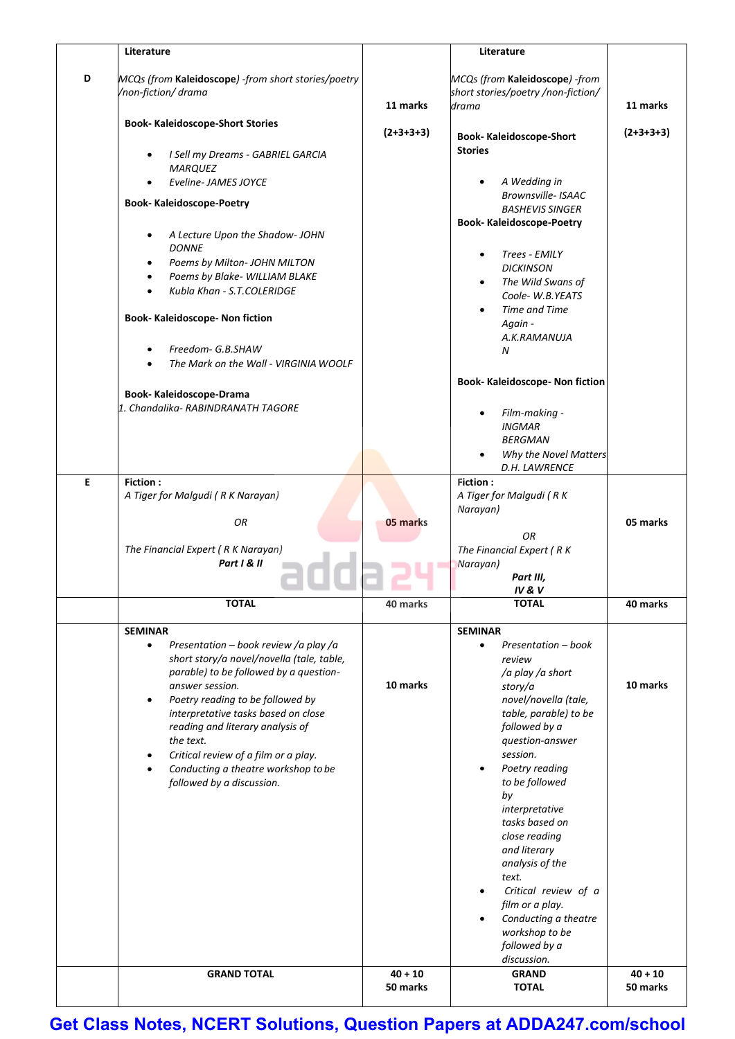|   | Literature                                                                                                                                                                                                                                                                                                                                                                                                             |             | Literature                                                                                                                                                                                                                                                                                               |             |
|---|------------------------------------------------------------------------------------------------------------------------------------------------------------------------------------------------------------------------------------------------------------------------------------------------------------------------------------------------------------------------------------------------------------------------|-------------|----------------------------------------------------------------------------------------------------------------------------------------------------------------------------------------------------------------------------------------------------------------------------------------------------------|-------------|
| D | MCQs (from Kaleidoscope) -from short stories/poetry<br>/non-fiction/ drama                                                                                                                                                                                                                                                                                                                                             | 11 marks    | MCQs (from Kaleidoscope) -from<br>short stories/poetry /non-fiction/<br>drama                                                                                                                                                                                                                            | 11 marks    |
|   | <b>Book- Kaleidoscope-Short Stories</b>                                                                                                                                                                                                                                                                                                                                                                                | $(2+3+3+3)$ | <b>Book-Kaleidoscope-Short</b>                                                                                                                                                                                                                                                                           | $(2+3+3+3)$ |
|   | I Sell my Dreams - GABRIEL GARCIA<br><b>MARQUEZ</b>                                                                                                                                                                                                                                                                                                                                                                    |             | <b>Stories</b>                                                                                                                                                                                                                                                                                           |             |
|   | Eveline-JAMES JOYCE<br><b>Book- Kaleidoscope-Poetry</b>                                                                                                                                                                                                                                                                                                                                                                |             | A Wedding in<br>Brownsville- ISAAC<br><b>BASHEVIS SINGER</b>                                                                                                                                                                                                                                             |             |
|   | A Lecture Upon the Shadow- JOHN                                                                                                                                                                                                                                                                                                                                                                                        |             | <b>Book-Kaleidoscope-Poetry</b>                                                                                                                                                                                                                                                                          |             |
|   | <b>DONNE</b><br>Poems by Milton- JOHN MILTON<br>Poems by Blake- WILLIAM BLAKE                                                                                                                                                                                                                                                                                                                                          |             | Trees - EMILY<br><b>DICKINSON</b>                                                                                                                                                                                                                                                                        |             |
|   | Kubla Khan - S.T.COLERIDGE                                                                                                                                                                                                                                                                                                                                                                                             |             | The Wild Swans of<br>$\bullet$<br>Coole-W.B.YEATS<br><b>Time and Time</b>                                                                                                                                                                                                                                |             |
|   | <b>Book- Kaleidoscope- Non fiction</b><br>Freedom- G.B.SHAW                                                                                                                                                                                                                                                                                                                                                            |             | Again -<br>A.K.RAMANUJA                                                                                                                                                                                                                                                                                  |             |
|   | The Mark on the Wall - VIRGINIA WOOLF                                                                                                                                                                                                                                                                                                                                                                                  |             | N<br>Book- Kaleidoscope- Non fiction                                                                                                                                                                                                                                                                     |             |
|   | <b>Book-Kaleidoscope-Drama</b><br>1. Chandalika-RABINDRANATH TAGORE                                                                                                                                                                                                                                                                                                                                                    |             | Film-making -<br><b>INGMAR</b>                                                                                                                                                                                                                                                                           |             |
|   |                                                                                                                                                                                                                                                                                                                                                                                                                        |             | <b>BERGMAN</b><br>Why the Novel Matters<br>D.H. LAWRENCE                                                                                                                                                                                                                                                 |             |
| E | Fiction:<br>A Tiger for Malgudi (R K Narayan)                                                                                                                                                                                                                                                                                                                                                                          |             | Fiction:<br>A Tiger for Malgudi (RK<br>Narayan)                                                                                                                                                                                                                                                          |             |
|   | OR<br>The Financial Expert (R K Narayan)                                                                                                                                                                                                                                                                                                                                                                               | 05 marks    | OR<br>The Financial Expert (RK                                                                                                                                                                                                                                                                           | 05 marks    |
|   | Part I & II                                                                                                                                                                                                                                                                                                                                                                                                            |             | Narayan)<br>Part III,<br><b>IV&amp;V</b>                                                                                                                                                                                                                                                                 |             |
|   | <b>TOTAL</b>                                                                                                                                                                                                                                                                                                                                                                                                           | 40 marks    | <b>TOTAL</b>                                                                                                                                                                                                                                                                                             | 40 marks    |
|   | <b>SEMINAR</b><br>Presentation – book review /a play /a<br>$\bullet$<br>short story/a novel/novella (tale, table,<br>parable) to be followed by a question-<br>answer session.<br>Poetry reading to be followed by<br>interpretative tasks based on close<br>reading and literary analysis of<br>the text.<br>Critical review of a film or a play.<br>Conducting a theatre workshop to be<br>followed by a discussion. | 10 marks    | <b>SEMINAR</b><br>Presentation - book<br>$\bullet$<br>review<br>/a play /a short<br>story/a<br>novel/novella (tale,<br>table, parable) to be<br>followed by a<br>question-answer<br>session.<br>Poetry reading<br>$\bullet$<br>to be followed<br>by<br>interpretative<br>tasks based on<br>close reading | 10 marks    |
|   | <b>GRAND TOTAL</b>                                                                                                                                                                                                                                                                                                                                                                                                     | $40 + 10$   | and literary<br>analysis of the<br>text.<br>Critical review of a<br>film or a play.<br>Conducting a theatre<br>$\bullet$<br>workshop to be<br>followed by a<br>discussion.<br><b>GRAND</b>                                                                                                               | $40 + 10$   |
|   |                                                                                                                                                                                                                                                                                                                                                                                                                        | 50 marks    | <b>TOTAL</b>                                                                                                                                                                                                                                                                                             | 50 marks    |